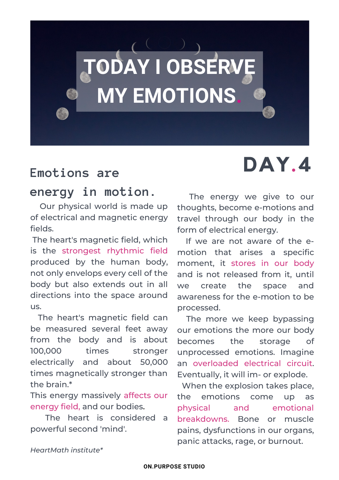

### **energy in motion.**

Our physical world is made up of electrical and magnetic energy fields.

The heart's magnetic field, which is the strongest rhythmic field produced by the human body, not only envelops every cell of the body but also extends out in all directions into the space around us.

The heart's magnetic field can be measured several feet away from the body and is about 100,000 times stronger electrically and about 50,000 times magnetically stronger than the brain.\*

This energy massively affects our energy field, and our bodies.

The heart is considered a powerful second 'mind'.

# Emotions are **DAY.4**

The energy we give to our thoughts, become e-motions and travel through our body in the form of electrical energy.

If we are not aware of the emotion that arises a specific moment, it stores in our body and is not released from it, until we create the space and awareness for the e-motion to be processed.

The more we keep bypassing our emotions the more our body becomes the storage of unprocessed emotions. Imagine an overloaded electrical circuit. Eventually, it will im- or explode.

When the explosion takes place, the emotions come up as physical and emotional breakdowns. Bone or muscle pains, dysfunctions in our organs, panic attacks, rage, or burnout.

*HeartMath institute\**